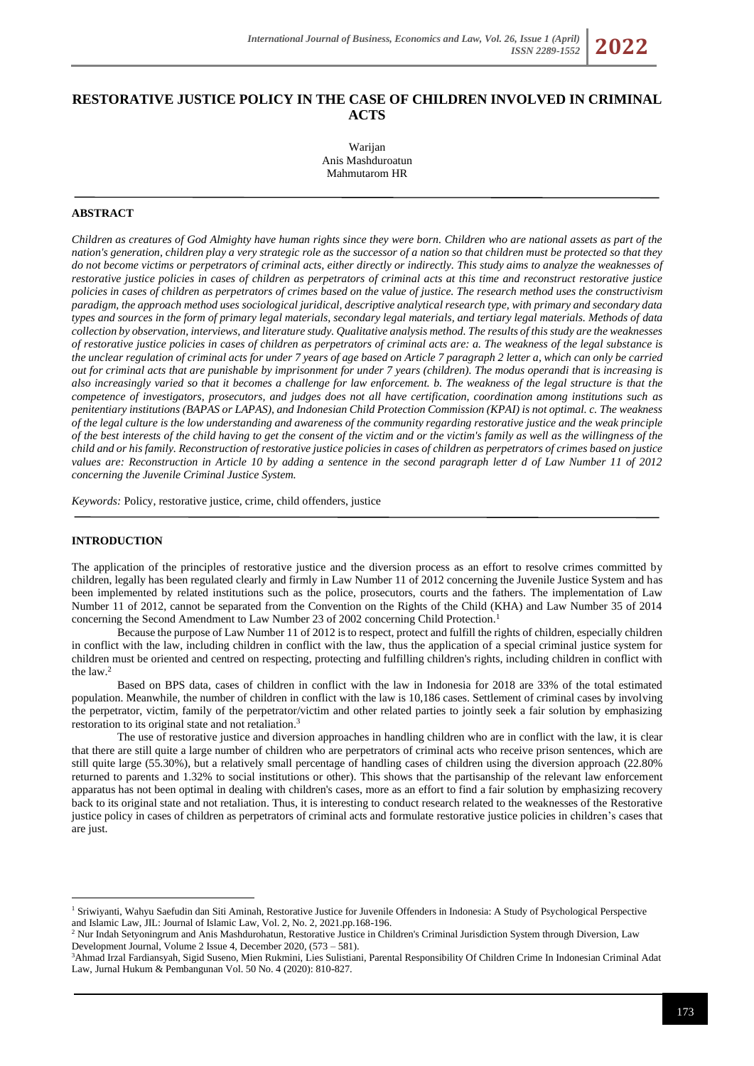## **RESTORATIVE JUSTICE POLICY IN THE CASE OF CHILDREN INVOLVED IN CRIMINAL ACTS**

Warijan Anis Mashduroatun Mahmutarom HR

#### **ABSTRACT**

*Children as creatures of God Almighty have human rights since they were born. Children who are national assets as part of the nation's generation, children play a very strategic role as the successor of a nation so that children must be protected so that they do not become victims or perpetrators of criminal acts, either directly or indirectly. This study aims to analyze the weaknesses of restorative justice policies in cases of children as perpetrators of criminal acts at this time and reconstruct restorative justice policies in cases of children as perpetrators of crimes based on the value of justice. The research method uses the constructivism paradigm, the approach method uses sociological juridical, descriptive analytical research type, with primary and secondary data types and sources in the form of primary legal materials, secondary legal materials, and tertiary legal materials. Methods of data collection by observation, interviews, and literature study. Qualitative analysis method. The results of this study are the weaknesses of restorative justice policies in cases of children as perpetrators of criminal acts are: a. The weakness of the legal substance is the unclear regulation of criminal acts for under 7 years of age based on Article 7 paragraph 2 letter a, which can only be carried out for criminal acts that are punishable by imprisonment for under 7 years (children). The modus operandi that is increasing is also increasingly varied so that it becomes a challenge for law enforcement. b. The weakness of the legal structure is that the competence of investigators, prosecutors, and judges does not all have certification, coordination among institutions such as penitentiary institutions (BAPAS or LAPAS), and Indonesian Child Protection Commission (KPAI) is not optimal. c. The weakness of the legal culture is the low understanding and awareness of the community regarding restorative justice and the weak principle of the best interests of the child having to get the consent of the victim and or the victim's family as well as the willingness of the child and or his family. Reconstruction of restorative justice policies in cases of children as perpetrators of crimes based on justice values are: Reconstruction in Article 10 by adding a sentence in the second paragraph letter d of Law Number 11 of 2012 concerning the Juvenile Criminal Justice System.*

*Keywords:* Policy, restorative justice, crime, child offenders, justice

### **INTRODUCTION**

The application of the principles of restorative justice and the diversion process as an effort to resolve crimes committed by children, legally has been regulated clearly and firmly in Law Number 11 of 2012 concerning the Juvenile Justice System and has been implemented by related institutions such as the police, prosecutors, courts and the fathers. The implementation of Law Number 11 of 2012, cannot be separated from the Convention on the Rights of the Child (KHA) and Law Number 35 of 2014 concerning the Second Amendment to Law Number 23 of 2002 concerning Child Protection.<sup>1</sup>

Because the purpose of Law Number 11 of 2012 is to respect, protect and fulfill the rights of children, especially children in conflict with the law, including children in conflict with the law, thus the application of a special criminal justice system for children must be oriented and centred on respecting, protecting and fulfilling children's rights, including children in conflict with the law.<sup>2</sup>

Based on BPS data, cases of children in conflict with the law in Indonesia for 2018 are 33% of the total estimated population. Meanwhile, the number of children in conflict with the law is 10,186 cases. Settlement of criminal cases by involving the perpetrator, victim, family of the perpetrator/victim and other related parties to jointly seek a fair solution by emphasizing restoration to its original state and not retaliation.<sup>3</sup>

The use of restorative justice and diversion approaches in handling children who are in conflict with the law, it is clear that there are still quite a large number of children who are perpetrators of criminal acts who receive prison sentences, which are still quite large (55.30%), but a relatively small percentage of handling cases of children using the diversion approach (22.80% returned to parents and 1.32% to social institutions or other). This shows that the partisanship of the relevant law enforcement apparatus has not been optimal in dealing with children's cases, more as an effort to find a fair solution by emphasizing recovery back to its original state and not retaliation. Thus, it is interesting to conduct research related to the weaknesses of the Restorative justice policy in cases of children as perpetrators of criminal acts and formulate restorative justice policies in children's cases that are just.

<sup>&</sup>lt;sup>1</sup> Sriwiyanti, Wahyu Saefudin dan Siti Aminah, Restorative Justice for Juvenile Offenders in Indonesia: A Study of Psychological Perspective and Islamic Law, JIL: Journal of Islamic Law, Vol. 2, No. 2, 2021.pp.168-196.

<sup>&</sup>lt;sup>2</sup> Nur Indah Setyoningrum and Anis Mashdurohatun, Restorative Justice in Children's Criminal Jurisdiction System through Diversion, Law Development Journal, Volume 2 Issue 4, December 2020, (573 – 581).

<sup>3</sup>Ahmad Irzal Fardiansyah, Sigid Suseno, Mien Rukmini, Lies Sulistiani, Parental Responsibility Of Children Crime In Indonesian Criminal Adat Law, Jurnal Hukum & Pembangunan Vol. 50 No. 4 (2020): 810-827.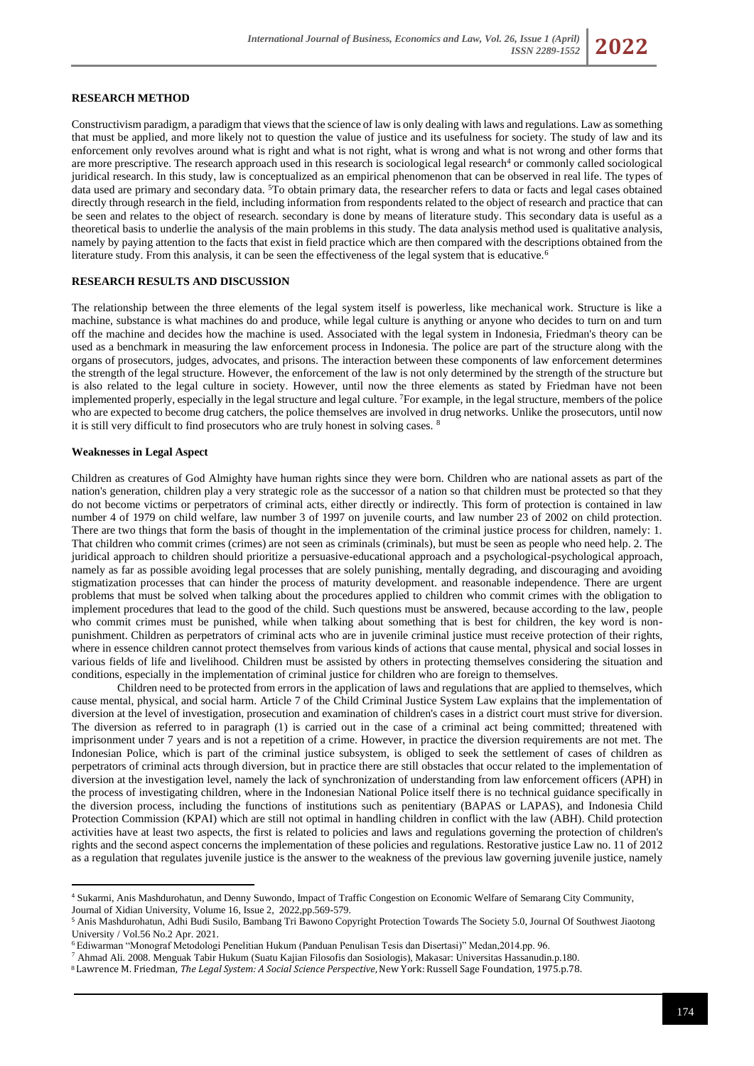

#### **RESEARCH METHOD**

Constructivism paradigm, a paradigm that views that the science of law is only dealing with laws and regulations. Law as something that must be applied, and more likely not to question the value of justice and its usefulness for society. The study of law and its enforcement only revolves around what is right and what is not right, what is wrong and what is not wrong and other forms that are more prescriptive. The research approach used in this research is sociological legal research<sup>4</sup> or commonly called sociological juridical research. In this study, law is conceptualized as an empirical phenomenon that can be observed in real life. The types of data used are primary and secondary data. <sup>5</sup>To obtain primary data, the researcher refers to data or facts and legal cases obtained directly through research in the field, including information from respondents related to the object of research and practice that can be seen and relates to the object of research. secondary is done by means of literature study. This secondary data is useful as a theoretical basis to underlie the analysis of the main problems in this study. The data analysis method used is qualitative analysis, namely by paying attention to the facts that exist in field practice which are then compared with the descriptions obtained from the literature study. From this analysis, it can be seen the effectiveness of the legal system that is educative.<sup>6</sup>

#### **RESEARCH RESULTS AND DISCUSSION**

The relationship between the three elements of the legal system itself is powerless, like mechanical work. Structure is like a machine, substance is what machines do and produce, while legal culture is anything or anyone who decides to turn on and turn off the machine and decides how the machine is used. Associated with the legal system in Indonesia, Friedman's theory can be used as a benchmark in measuring the law enforcement process in Indonesia. The police are part of the structure along with the organs of prosecutors, judges, advocates, and prisons. The interaction between these components of law enforcement determines the strength of the legal structure. However, the enforcement of the law is not only determined by the strength of the structure but is also related to the legal culture in society. However, until now the three elements as stated by Friedman have not been implemented properly, especially in the legal structure and legal culture. <sup>7</sup>For example, in the legal structure, members of the police who are expected to become drug catchers, the police themselves are involved in drug networks. Unlike the prosecutors, until now it is still very difficult to find prosecutors who are truly honest in solving cases.  $8$ 

#### **Weaknesses in Legal Aspect**

Children as creatures of God Almighty have human rights since they were born. Children who are national assets as part of the nation's generation, children play a very strategic role as the successor of a nation so that children must be protected so that they do not become victims or perpetrators of criminal acts, either directly or indirectly. This form of protection is contained in law number 4 of 1979 on child welfare, law number 3 of 1997 on juvenile courts, and law number 23 of 2002 on child protection. There are two things that form the basis of thought in the implementation of the criminal justice process for children, namely: 1. That children who commit crimes (crimes) are not seen as criminals (criminals), but must be seen as people who need help. 2. The juridical approach to children should prioritize a persuasive-educational approach and a psychological-psychological approach, namely as far as possible avoiding legal processes that are solely punishing, mentally degrading, and discouraging and avoiding stigmatization processes that can hinder the process of maturity development. and reasonable independence. There are urgent problems that must be solved when talking about the procedures applied to children who commit crimes with the obligation to implement procedures that lead to the good of the child. Such questions must be answered, because according to the law, people who commit crimes must be punished, while when talking about something that is best for children, the key word is nonpunishment. Children as perpetrators of criminal acts who are in juvenile criminal justice must receive protection of their rights, where in essence children cannot protect themselves from various kinds of actions that cause mental, physical and social losses in various fields of life and livelihood. Children must be assisted by others in protecting themselves considering the situation and conditions, especially in the implementation of criminal justice for children who are foreign to themselves.

Children need to be protected from errors in the application of laws and regulations that are applied to themselves, which cause mental, physical, and social harm. Article 7 of the Child Criminal Justice System Law explains that the implementation of diversion at the level of investigation, prosecution and examination of children's cases in a district court must strive for diversion. The diversion as referred to in paragraph (1) is carried out in the case of a criminal act being committed; threatened with imprisonment under 7 years and is not a repetition of a crime. However, in practice the diversion requirements are not met. The Indonesian Police, which is part of the criminal justice subsystem, is obliged to seek the settlement of cases of children as perpetrators of criminal acts through diversion, but in practice there are still obstacles that occur related to the implementation of diversion at the investigation level, namely the lack of synchronization of understanding from law enforcement officers (APH) in the process of investigating children, where in the Indonesian National Police itself there is no technical guidance specifically in the diversion process, including the functions of institutions such as penitentiary (BAPAS or LAPAS), and Indonesia Child Protection Commission (KPAI) which are still not optimal in handling children in conflict with the law (ABH). Child protection activities have at least two aspects, the first is related to policies and laws and regulations governing the protection of children's rights and the second aspect concerns the implementation of these policies and regulations. Restorative justice Law no. 11 of 2012 as a regulation that regulates juvenile justice is the answer to the weakness of the previous law governing juvenile justice, namely

<sup>4</sup> Sukarmi, Anis Mashdurohatun, and Denny Suwondo, Impact of Traffic Congestion on Economic Welfare of Semarang City Community, Journal of Xidian University, Volume 16, Issue 2, 2022,pp.569-579.

<sup>&</sup>lt;sup>5</sup> Anis Mashdurohatun, Adhi Budi Susilo, Bambang Tri Bawono Copyright Protection Towards The Society 5.0, Journal Of Southwest Jiaotong University / Vol.56 No.2 Apr. 2021.

<sup>6</sup> Ediwarman "Monograf Metodologi Penelitian Hukum (Panduan Penulisan Tesis dan Disertasi)" Medan,2014.pp. 96.

<sup>7</sup> Ahmad Ali. 2008. Menguak Tabir Hukum (Suatu Kajian Filosofis dan Sosiologis), Makasar: Universitas Hassanudin.p.180.

<sup>8</sup> Lawrence M. Friedman, *The Legal System: A Social Science Perspective*, New York[: Russell Sage Foundation,](https://en.wikipedia.org/wiki/Russell_Sage_Foundation) 1975.p.78.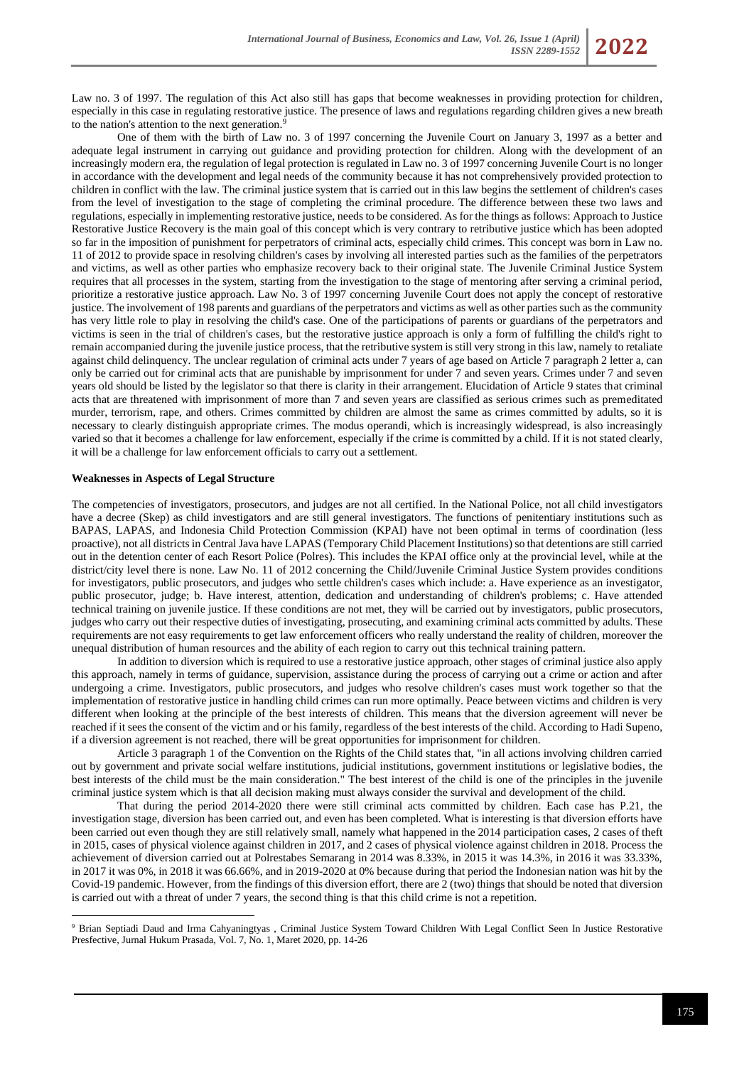Law no. 3 of 1997. The regulation of this Act also still has gaps that become weaknesses in providing protection for children, especially in this case in regulating restorative justice. The presence of laws and regulations regarding children gives a new breath to the nation's attention to the next generation.<sup>9</sup>

One of them with the birth of Law no. 3 of 1997 concerning the Juvenile Court on January 3, 1997 as a better and adequate legal instrument in carrying out guidance and providing protection for children. Along with the development of an increasingly modern era, the regulation of legal protection is regulated in Law no. 3 of 1997 concerning Juvenile Court is no longer in accordance with the development and legal needs of the community because it has not comprehensively provided protection to children in conflict with the law. The criminal justice system that is carried out in this law begins the settlement of children's cases from the level of investigation to the stage of completing the criminal procedure. The difference between these two laws and regulations, especially in implementing restorative justice, needs to be considered. As for the things as follows: Approach to Justice Restorative Justice Recovery is the main goal of this concept which is very contrary to retributive justice which has been adopted so far in the imposition of punishment for perpetrators of criminal acts, especially child crimes. This concept was born in Law no. 11 of 2012 to provide space in resolving children's cases by involving all interested parties such as the families of the perpetrators and victims, as well as other parties who emphasize recovery back to their original state. The Juvenile Criminal Justice System requires that all processes in the system, starting from the investigation to the stage of mentoring after serving a criminal period, prioritize a restorative justice approach. Law No. 3 of 1997 concerning Juvenile Court does not apply the concept of restorative justice. The involvement of 198 parents and guardians of the perpetrators and victims as well as other parties such as the community has very little role to play in resolving the child's case. One of the participations of parents or guardians of the perpetrators and victims is seen in the trial of children's cases, but the restorative justice approach is only a form of fulfilling the child's right to remain accompanied during the juvenile justice process, that the retributive system is still very strong in this law, namely to retaliate against child delinquency. The unclear regulation of criminal acts under 7 years of age based on Article 7 paragraph 2 letter a, can only be carried out for criminal acts that are punishable by imprisonment for under 7 and seven years. Crimes under 7 and seven years old should be listed by the legislator so that there is clarity in their arrangement. Elucidation of Article 9 states that criminal acts that are threatened with imprisonment of more than 7 and seven years are classified as serious crimes such as premeditated murder, terrorism, rape, and others. Crimes committed by children are almost the same as crimes committed by adults, so it is necessary to clearly distinguish appropriate crimes. The modus operandi, which is increasingly widespread, is also increasingly varied so that it becomes a challenge for law enforcement, especially if the crime is committed by a child. If it is not stated clearly, it will be a challenge for law enforcement officials to carry out a settlement.

#### **Weaknesses in Aspects of Legal Structure**

The competencies of investigators, prosecutors, and judges are not all certified. In the National Police, not all child investigators have a decree (Skep) as child investigators and are still general investigators. The functions of penitentiary institutions such as BAPAS, LAPAS, and Indonesia Child Protection Commission (KPAI) have not been optimal in terms of coordination (less proactive), not all districts in Central Java have LAPAS (Temporary Child Placement Institutions) so that detentions are still carried out in the detention center of each Resort Police (Polres). This includes the KPAI office only at the provincial level, while at the district/city level there is none. Law No. 11 of 2012 concerning the Child/Juvenile Criminal Justice System provides conditions for investigators, public prosecutors, and judges who settle children's cases which include: a. Have experience as an investigator, public prosecutor, judge; b. Have interest, attention, dedication and understanding of children's problems; c. Have attended technical training on juvenile justice. If these conditions are not met, they will be carried out by investigators, public prosecutors, judges who carry out their respective duties of investigating, prosecuting, and examining criminal acts committed by adults. These requirements are not easy requirements to get law enforcement officers who really understand the reality of children, moreover the unequal distribution of human resources and the ability of each region to carry out this technical training pattern.

In addition to diversion which is required to use a restorative justice approach, other stages of criminal justice also apply this approach, namely in terms of guidance, supervision, assistance during the process of carrying out a crime or action and after undergoing a crime. Investigators, public prosecutors, and judges who resolve children's cases must work together so that the implementation of restorative justice in handling child crimes can run more optimally. Peace between victims and children is very different when looking at the principle of the best interests of children. This means that the diversion agreement will never be reached if it sees the consent of the victim and or his family, regardless of the best interests of the child. According to Hadi Supeno, if a diversion agreement is not reached, there will be great opportunities for imprisonment for children.

Article 3 paragraph 1 of the Convention on the Rights of the Child states that, "in all actions involving children carried out by government and private social welfare institutions, judicial institutions, government institutions or legislative bodies, the best interests of the child must be the main consideration." The best interest of the child is one of the principles in the juvenile criminal justice system which is that all decision making must always consider the survival and development of the child.

That during the period 2014-2020 there were still criminal acts committed by children. Each case has P.21, the investigation stage, diversion has been carried out, and even has been completed. What is interesting is that diversion efforts have been carried out even though they are still relatively small, namely what happened in the 2014 participation cases, 2 cases of theft in 2015, cases of physical violence against children in 2017, and 2 cases of physical violence against children in 2018. Process the achievement of diversion carried out at Polrestabes Semarang in 2014 was 8.33%, in 2015 it was 14.3%, in 2016 it was 33.33%, in 2017 it was 0%, in 2018 it was 66.66%, and in 2019-2020 at 0% because during that period the Indonesian nation was hit by the Covid-19 pandemic. However, from the findings of this diversion effort, there are 2 (two) things that should be noted that diversion is carried out with a threat of under 7 years, the second thing is that this child crime is not a repetition.

<sup>9</sup> Brian Septiadi Daud and Irma Cahyaningtyas , Criminal Justice System Toward Children With Legal Conflict Seen In Justice Restorative Presfective, Jurnal Hukum Prasada, Vol. 7, No. 1, Maret 2020, pp. 14-26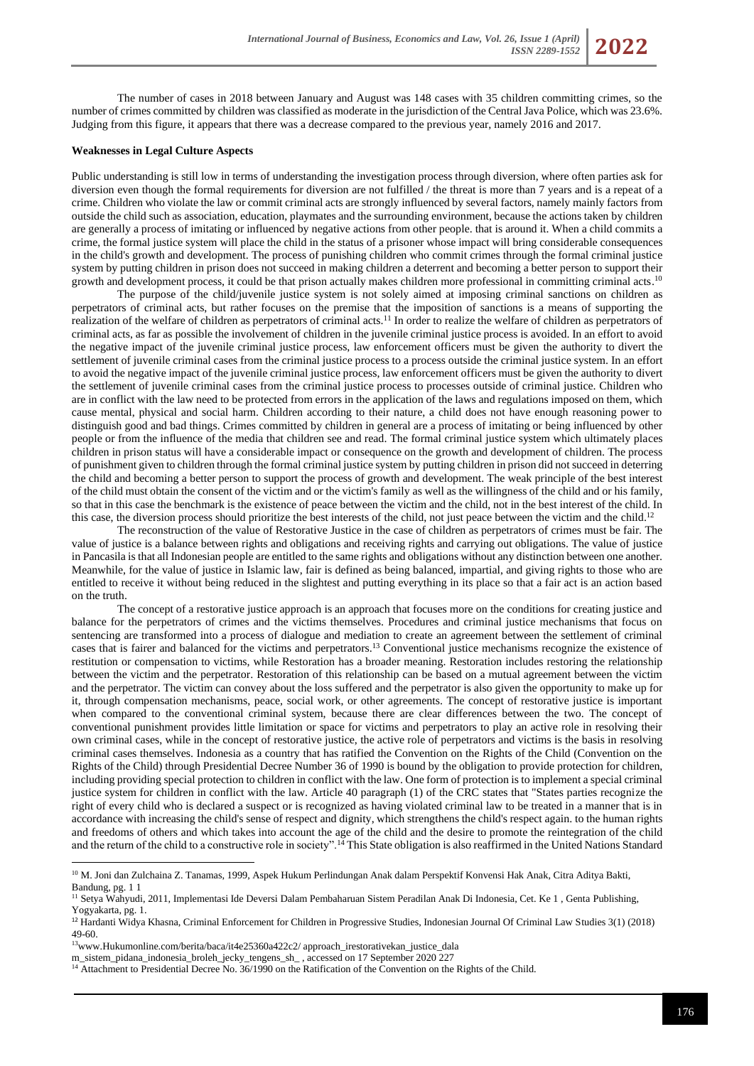The number of cases in 2018 between January and August was 148 cases with 35 children committing crimes, so the number of crimes committed by children was classified as moderate in the jurisdiction of the Central Java Police, which was 23.6%. Judging from this figure, it appears that there was a decrease compared to the previous year, namely 2016 and 2017.

#### **Weaknesses in Legal Culture Aspects**

Public understanding is still low in terms of understanding the investigation process through diversion, where often parties ask for diversion even though the formal requirements for diversion are not fulfilled / the threat is more than 7 years and is a repeat of a crime. Children who violate the law or commit criminal acts are strongly influenced by several factors, namely mainly factors from outside the child such as association, education, playmates and the surrounding environment, because the actions taken by children are generally a process of imitating or influenced by negative actions from other people. that is around it. When a child commits a crime, the formal justice system will place the child in the status of a prisoner whose impact will bring considerable consequences in the child's growth and development. The process of punishing children who commit crimes through the formal criminal justice system by putting children in prison does not succeed in making children a deterrent and becoming a better person to support their growth and development process, it could be that prison actually makes children more professional in committing criminal acts.<sup>10</sup>

The purpose of the child/juvenile justice system is not solely aimed at imposing criminal sanctions on children as perpetrators of criminal acts, but rather focuses on the premise that the imposition of sanctions is a means of supporting the realization of the welfare of children as perpetrators of criminal acts.<sup>11</sup> In order to realize the welfare of children as perpetrators of criminal acts, as far as possible the involvement of children in the juvenile criminal justice process is avoided. In an effort to avoid the negative impact of the juvenile criminal justice process, law enforcement officers must be given the authority to divert the settlement of juvenile criminal cases from the criminal justice process to a process outside the criminal justice system. In an effort to avoid the negative impact of the juvenile criminal justice process, law enforcement officers must be given the authority to divert the settlement of juvenile criminal cases from the criminal justice process to processes outside of criminal justice. Children who are in conflict with the law need to be protected from errors in the application of the laws and regulations imposed on them, which cause mental, physical and social harm. Children according to their nature, a child does not have enough reasoning power to distinguish good and bad things. Crimes committed by children in general are a process of imitating or being influenced by other people or from the influence of the media that children see and read. The formal criminal justice system which ultimately places children in prison status will have a considerable impact or consequence on the growth and development of children. The process of punishment given to children through the formal criminal justice system by putting children in prison did not succeed in deterring the child and becoming a better person to support the process of growth and development. The weak principle of the best interest of the child must obtain the consent of the victim and or the victim's family as well as the willingness of the child and or his family, so that in this case the benchmark is the existence of peace between the victim and the child, not in the best interest of the child. In this case, the diversion process should prioritize the best interests of the child, not just peace between the victim and the child.<sup>12</sup>

The reconstruction of the value of Restorative Justice in the case of children as perpetrators of crimes must be fair. The value of justice is a balance between rights and obligations and receiving rights and carrying out obligations. The value of justice in Pancasila is that all Indonesian people are entitled to the same rights and obligations without any distinction between one another. Meanwhile, for the value of justice in Islamic law, fair is defined as being balanced, impartial, and giving rights to those who are entitled to receive it without being reduced in the slightest and putting everything in its place so that a fair act is an action based on the truth.

The concept of a restorative justice approach is an approach that focuses more on the conditions for creating justice and balance for the perpetrators of crimes and the victims themselves. Procedures and criminal justice mechanisms that focus on sentencing are transformed into a process of dialogue and mediation to create an agreement between the settlement of criminal cases that is fairer and balanced for the victims and perpetrators.<sup>13</sup> Conventional justice mechanisms recognize the existence of restitution or compensation to victims, while Restoration has a broader meaning. Restoration includes restoring the relationship between the victim and the perpetrator. Restoration of this relationship can be based on a mutual agreement between the victim and the perpetrator. The victim can convey about the loss suffered and the perpetrator is also given the opportunity to make up for it, through compensation mechanisms, peace, social work, or other agreements. The concept of restorative justice is important when compared to the conventional criminal system, because there are clear differences between the two. The concept of conventional punishment provides little limitation or space for victims and perpetrators to play an active role in resolving their own criminal cases, while in the concept of restorative justice, the active role of perpetrators and victims is the basis in resolving criminal cases themselves. Indonesia as a country that has ratified the Convention on the Rights of the Child (Convention on the Rights of the Child) through Presidential Decree Number 36 of 1990 is bound by the obligation to provide protection for children, including providing special protection to children in conflict with the law. One form of protection is to implement a special criminal justice system for children in conflict with the law. Article 40 paragraph (1) of the CRC states that "States parties recognize the right of every child who is declared a suspect or is recognized as having violated criminal law to be treated in a manner that is in accordance with increasing the child's sense of respect and dignity, which strengthens the child's respect again. to the human rights and freedoms of others and which takes into account the age of the child and the desire to promote the reintegration of the child and the return of the child to a constructive role in society".<sup>14</sup> This State obligation is also reaffirmed in the United Nations Standard

<sup>10</sup> M. Joni dan Zulchaina Z. Tanamas, 1999, Aspek Hukum Perlindungan Anak dalam Perspektif Konvensi Hak Anak, Citra Aditya Bakti, Bandung, pg. 1 1

<sup>11</sup> Setya Wahyudi, 2011, Implementasi Ide Deversi Dalam Pembaharuan Sistem Peradilan Anak Di Indonesia, Cet. Ke 1 , Genta Publishing, Yogyakarta, pg. 1.

<sup>12</sup> Hardanti Widya Khasna, Criminal Enforcement for Children in Progressive Studies, Indonesian Journal Of Criminal Law Studies 3(1) (2018) 49-60.

<sup>&</sup>lt;sup>13</sup>www.Hukumonline.com/berita/baca/it4e25360a422c2/ approach\_irestorativekan\_justice\_dala

m\_sistem\_pidana\_indonesia\_broleh\_jecky\_tengens\_sh\_ , accessed on 17 September 2020 227

<sup>&</sup>lt;sup>14</sup> Attachment to Presidential Decree No. 36/1990 on the Ratification of the Convention on the Rights of the Child.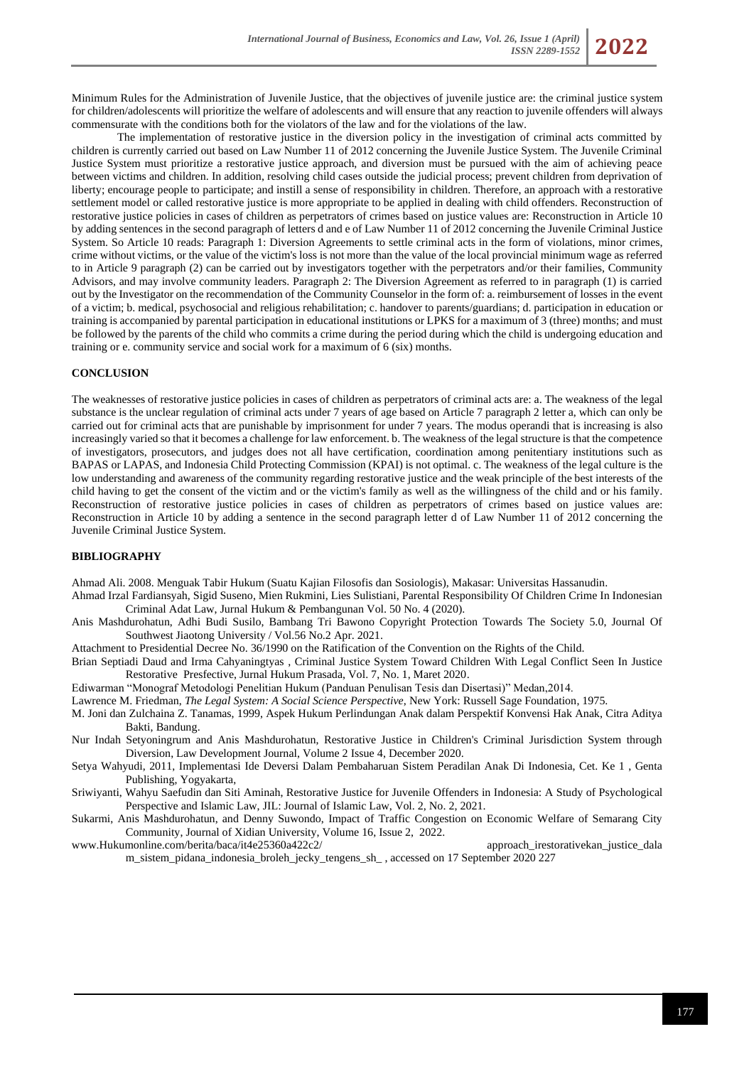Minimum Rules for the Administration of Juvenile Justice, that the objectives of juvenile justice are: the criminal justice system for children/adolescents will prioritize the welfare of adolescents and will ensure that any reaction to juvenile offenders will always commensurate with the conditions both for the violators of the law and for the violations of the law.

The implementation of restorative justice in the diversion policy in the investigation of criminal acts committed by children is currently carried out based on Law Number 11 of 2012 concerning the Juvenile Justice System. The Juvenile Criminal Justice System must prioritize a restorative justice approach, and diversion must be pursued with the aim of achieving peace between victims and children. In addition, resolving child cases outside the judicial process; prevent children from deprivation of liberty; encourage people to participate; and instill a sense of responsibility in children. Therefore, an approach with a restorative settlement model or called restorative justice is more appropriate to be applied in dealing with child offenders. Reconstruction of restorative justice policies in cases of children as perpetrators of crimes based on justice values are: Reconstruction in Article 10 by adding sentences in the second paragraph of letters d and e of Law Number 11 of 2012 concerning the Juvenile Criminal Justice System. So Article 10 reads: Paragraph 1: Diversion Agreements to settle criminal acts in the form of violations, minor crimes, crime without victims, or the value of the victim's loss is not more than the value of the local provincial minimum wage as referred to in Article 9 paragraph (2) can be carried out by investigators together with the perpetrators and/or their families, Community Advisors, and may involve community leaders. Paragraph 2: The Diversion Agreement as referred to in paragraph (1) is carried out by the Investigator on the recommendation of the Community Counselor in the form of: a. reimbursement of losses in the event of a victim; b. medical, psychosocial and religious rehabilitation; c. handover to parents/guardians; d. participation in education or training is accompanied by parental participation in educational institutions or LPKS for a maximum of 3 (three) months; and must be followed by the parents of the child who commits a crime during the period during which the child is undergoing education and training or e. community service and social work for a maximum of 6 (six) months.

#### **CONCLUSION**

The weaknesses of restorative justice policies in cases of children as perpetrators of criminal acts are: a. The weakness of the legal substance is the unclear regulation of criminal acts under 7 years of age based on Article 7 paragraph 2 letter a, which can only be carried out for criminal acts that are punishable by imprisonment for under 7 years. The modus operandi that is increasing is also increasingly varied so that it becomes a challenge for law enforcement. b. The weakness of the legal structure is that the competence of investigators, prosecutors, and judges does not all have certification, coordination among penitentiary institutions such as BAPAS or LAPAS, and Indonesia Child Protecting Commission (KPAI) is not optimal. c. The weakness of the legal culture is the low understanding and awareness of the community regarding restorative justice and the weak principle of the best interests of the child having to get the consent of the victim and or the victim's family as well as the willingness of the child and or his family. Reconstruction of restorative justice policies in cases of children as perpetrators of crimes based on justice values are: Reconstruction in Article 10 by adding a sentence in the second paragraph letter d of Law Number 11 of 2012 concerning the Juvenile Criminal Justice System.

#### **BIBLIOGRAPHY**

Ahmad Ali. 2008. Menguak Tabir Hukum (Suatu Kajian Filosofis dan Sosiologis), Makasar: Universitas Hassanudin.

- Ahmad Irzal Fardiansyah, Sigid Suseno, Mien Rukmini, Lies Sulistiani, Parental Responsibility Of Children Crime In Indonesian Criminal Adat Law, Jurnal Hukum & Pembangunan Vol. 50 No. 4 (2020).
- Anis Mashdurohatun, Adhi Budi Susilo, Bambang Tri Bawono Copyright Protection Towards The Society 5.0, Journal Of Southwest Jiaotong University / Vol.56 No.2 Apr. 2021.

Attachment to Presidential Decree No. 36/1990 on the Ratification of the Convention on the Rights of the Child.

Brian Septiadi Daud and Irma Cahyaningtyas , Criminal Justice System Toward Children With Legal Conflict Seen In Justice Restorative Presfective, Jurnal Hukum Prasada, Vol. 7, No. 1, Maret 2020.

Ediwarman "Monograf Metodologi Penelitian Hukum (Panduan Penulisan Tesis dan Disertasi)" Medan,2014.

- Lawrence M. Friedman, *The Legal System: A Social Science Perspective*, New York: [Russell Sage Foundation,](https://en.wikipedia.org/wiki/Russell_Sage_Foundation) 1975.
- M. Joni dan Zulchaina Z. Tanamas, 1999, Aspek Hukum Perlindungan Anak dalam Perspektif Konvensi Hak Anak, Citra Aditya Bakti, Bandung.
- Nur Indah Setyoningrum and Anis Mashdurohatun, Restorative Justice in Children's Criminal Jurisdiction System through Diversion, Law Development Journal, Volume 2 Issue 4, December 2020.
- Setya Wahyudi, 2011, Implementasi Ide Deversi Dalam Pembaharuan Sistem Peradilan Anak Di Indonesia, Cet. Ke 1 , Genta Publishing, Yogyakarta,
- Sriwiyanti, Wahyu Saefudin dan Siti Aminah, Restorative Justice for Juvenile Offenders in Indonesia: A Study of Psychological Perspective and Islamic Law, JIL: Journal of Islamic Law, Vol. 2, No. 2, 2021.
- Sukarmi, Anis Mashdurohatun, and Denny Suwondo, Impact of Traffic Congestion on Economic Welfare of Semarang City Community, Journal of Xidian University, Volume 16, Issue 2, 2022.
- www.Hukumonline.com/berita/baca/it4e25360a422c2/ approach\_irestorativekan\_justice\_dala m\_sistem\_pidana\_indonesia\_broleh\_jecky\_tengens\_sh\_ , accessed on 17 September 2020 227